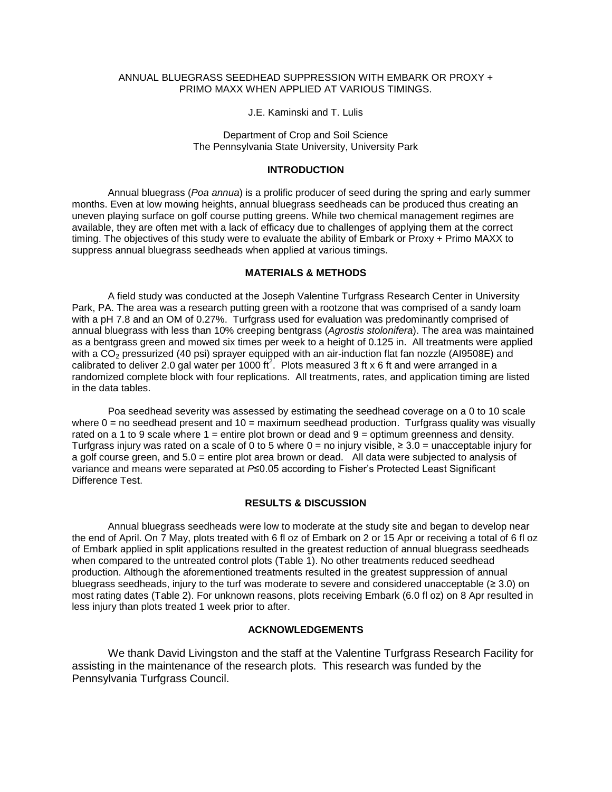# ANNUAL BLUEGRASS SEEDHEAD SUPPRESSION WITH EMBARK OR PROXY + PRIMO MAXX WHEN APPLIED AT VARIOUS TIMINGS.

J.E. Kaminski and T. Lulis

Department of Crop and Soil Science The Pennsylvania State University, University Park

## **INTRODUCTION**

Annual bluegrass (*Poa annua*) is a prolific producer of seed during the spring and early summer months. Even at low mowing heights, annual bluegrass seedheads can be produced thus creating an uneven playing surface on golf course putting greens. While two chemical management regimes are available, they are often met with a lack of efficacy due to challenges of applying them at the correct timing. The objectives of this study were to evaluate the ability of Embark or Proxy + Primo MAXX to suppress annual bluegrass seedheads when applied at various timings.

## **MATERIALS & METHODS**

A field study was conducted at the Joseph Valentine Turfgrass Research Center in University Park, PA. The area was a research putting green with a rootzone that was comprised of a sandy loam with a pH 7.8 and an OM of 0.27%. Turfgrass used for evaluation was predominantly comprised of annual bluegrass with less than 10% creeping bentgrass (*Agrostis stolonifera*). The area was maintained as a bentgrass green and mowed six times per week to a height of 0.125 in. All treatments were applied with a CO<sub>2</sub> pressurized (40 psi) sprayer equipped with an air-induction flat fan nozzle (AI9508E) and calibrated to deliver 2.0 gal water per 1000 ft<sup>2</sup>. Plots measured 3 ft x 6 ft and were arranged in a randomized complete block with four replications. All treatments, rates, and application timing are listed in the data tables.

Poa seedhead severity was assessed by estimating the seedhead coverage on a 0 to 10 scale where  $0 =$  no seedhead present and  $10 =$  maximum seedhead production. Turfgrass quality was visually rated on a 1 to 9 scale where  $1 =$  entire plot brown or dead and  $9 =$  optimum greenness and density. Turfgrass injury was rated on a scale of 0 to 5 where  $0 =$  no injury visible,  $\geq 3.0 =$  unacceptable injury for a golf course green, and 5.0 = entire plot area brown or dead. All data were subjected to analysis of variance and means were separated at *P*≤0.05 according to Fisher's Protected Least Significant Difference Test.

## **RESULTS & DISCUSSION**

Annual bluegrass seedheads were low to moderate at the study site and began to develop near the end of April. On 7 May, plots treated with 6 fl oz of Embark on 2 or 15 Apr or receiving a total of 6 fl oz of Embark applied in split applications resulted in the greatest reduction of annual bluegrass seedheads when compared to the untreated control plots (Table 1). No other treatments reduced seedhead production. Although the aforementioned treatments resulted in the greatest suppression of annual bluegrass seedheads, injury to the turf was moderate to severe and considered unacceptable ( $\geq 3.0$ ) on most rating dates (Table 2). For unknown reasons, plots receiving Embark (6.0 fl oz) on 8 Apr resulted in less injury than plots treated 1 week prior to after.

# **ACKNOWLEDGEMENTS**

We thank David Livingston and the staff at the Valentine Turfgrass Research Facility for assisting in the maintenance of the research plots. This research was funded by the Pennsylvania Turfgrass Council.